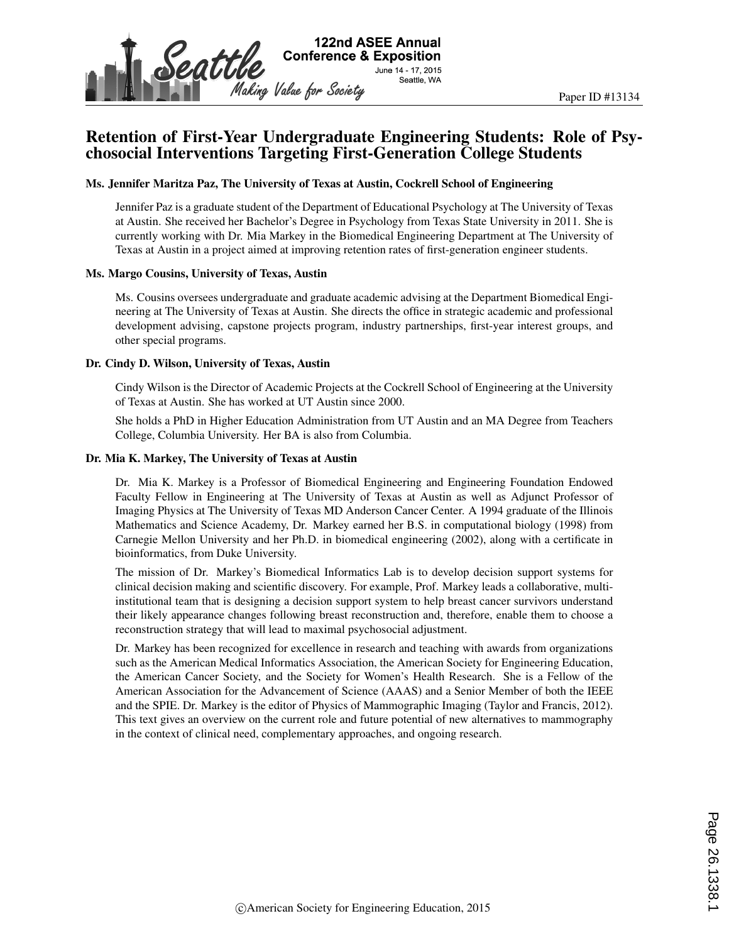

# Retention of First-Year Undergraduate Engineering Students: Role of Psychosocial Interventions Targeting First-Generation College Students

#### Ms. Jennifer Maritza Paz, The University of Texas at Austin, Cockrell School of Engineering

Jennifer Paz is a graduate student of the Department of Educational Psychology at The University of Texas at Austin. She received her Bachelor's Degree in Psychology from Texas State University in 2011. She is currently working with Dr. Mia Markey in the Biomedical Engineering Department at The University of Texas at Austin in a project aimed at improving retention rates of first-generation engineer students.

#### Ms. Margo Cousins, University of Texas, Austin

Ms. Cousins oversees undergraduate and graduate academic advising at the Department Biomedical Engineering at The University of Texas at Austin. She directs the office in strategic academic and professional development advising, capstone projects program, industry partnerships, first-year interest groups, and other special programs.

#### Dr. Cindy D. Wilson, University of Texas, Austin

Cindy Wilson is the Director of Academic Projects at the Cockrell School of Engineering at the University of Texas at Austin. She has worked at UT Austin since 2000.

She holds a PhD in Higher Education Administration from UT Austin and an MA Degree from Teachers College, Columbia University. Her BA is also from Columbia.

#### Dr. Mia K. Markey, The University of Texas at Austin

Dr. Mia K. Markey is a Professor of Biomedical Engineering and Engineering Foundation Endowed Faculty Fellow in Engineering at The University of Texas at Austin as well as Adjunct Professor of Imaging Physics at The University of Texas MD Anderson Cancer Center. A 1994 graduate of the Illinois Mathematics and Science Academy, Dr. Markey earned her B.S. in computational biology (1998) from Carnegie Mellon University and her Ph.D. in biomedical engineering (2002), along with a certificate in bioinformatics, from Duke University.

The mission of Dr. Markey's Biomedical Informatics Lab is to develop decision support systems for clinical decision making and scientific discovery. For example, Prof. Markey leads a collaborative, multiinstitutional team that is designing a decision support system to help breast cancer survivors understand their likely appearance changes following breast reconstruction and, therefore, enable them to choose a reconstruction strategy that will lead to maximal psychosocial adjustment.

Dr. Markey has been recognized for excellence in research and teaching with awards from organizations such as the American Medical Informatics Association, the American Society for Engineering Education, the American Cancer Society, and the Society for Women's Health Research. She is a Fellow of the American Association for the Advancement of Science (AAAS) and a Senior Member of both the IEEE and the SPIE. Dr. Markey is the editor of Physics of Mammographic Imaging (Taylor and Francis, 2012). This text gives an overview on the current role and future potential of new alternatives to mammography in the context of clinical need, complementary approaches, and ongoing research.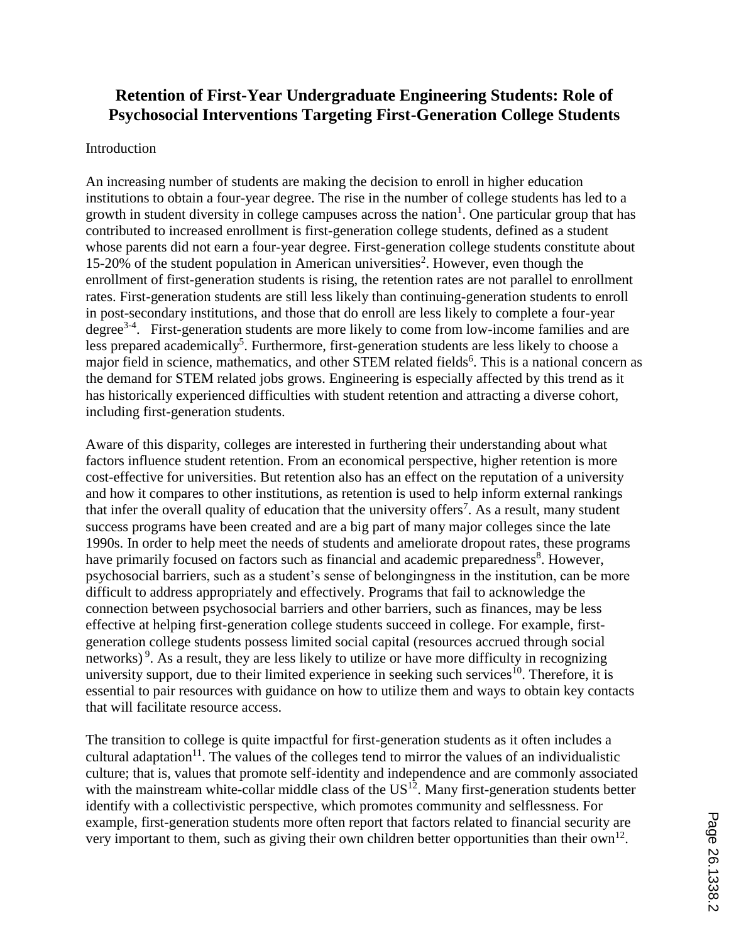# **Retention of First-Year Undergraduate Engineering Students: Role of Psychosocial Interventions Targeting First-Generation College Students**

## Introduction

An increasing number of students are making the decision to enroll in higher education institutions to obtain a four-year degree. The rise in the number of college students has led to a growth in student diversity in college campuses across the nation<sup>1</sup>. One particular group that has contributed to increased enrollment is first-generation college students, defined as a student whose parents did not earn a four-year degree. First-generation college students constitute about 15-20% of the student population in American universities<sup>2</sup>. However, even though the enrollment of first-generation students is rising, the retention rates are not parallel to enrollment rates. First-generation students are still less likely than continuing-generation students to enroll in post-secondary institutions, and those that do enroll are less likely to complete a four-year degree<sup>3-4</sup>. First-generation students are more likely to come from low-income families and are less prepared academically<sup>5</sup>. Furthermore, first-generation students are less likely to choose a major field in science, mathematics, and other STEM related fields<sup>6</sup>. This is a national concern as the demand for STEM related jobs grows. Engineering is especially affected by this trend as it has historically experienced difficulties with student retention and attracting a diverse cohort, including first-generation students.

Aware of this disparity, colleges are interested in furthering their understanding about what factors influence student retention. From an economical perspective, higher retention is more cost-effective for universities. But retention also has an effect on the reputation of a university and how it compares to other institutions, as retention is used to help inform external rankings that infer the overall quality of education that the university offers<sup>7</sup>. As a result, many student success programs have been created and are a big part of many major colleges since the late 1990s. In order to help meet the needs of students and ameliorate dropout rates, these programs have primarily focused on factors such as financial and academic preparedness<sup>8</sup>. However, psychosocial barriers, such as a student's sense of belongingness in the institution, can be more difficult to address appropriately and effectively. Programs that fail to acknowledge the connection between psychosocial barriers and other barriers, such as finances, may be less effective at helping first-generation college students succeed in college. For example, firstgeneration college students possess limited social capital (resources accrued through social networks)<sup>9</sup>. As a result, they are less likely to utilize or have more difficulty in recognizing university support, due to their limited experience in seeking such services $^{10}$ . Therefore, it is essential to pair resources with guidance on how to utilize them and ways to obtain key contacts that will facilitate resource access.

The transition to college is quite impactful for first-generation students as it often includes a cultural adaptation<sup>11</sup>. The values of the colleges tend to mirror the values of an individualistic culture; that is, values that promote self-identity and independence and are commonly associated with the mainstream white-collar middle class of the US<sup>12</sup>. Many first-generation students better identify with a collectivistic perspective, which promotes community and selflessness. For example, first-generation students more often report that factors related to financial security are very important to them, such as giving their own children better opportunities than their own<sup>12</sup>.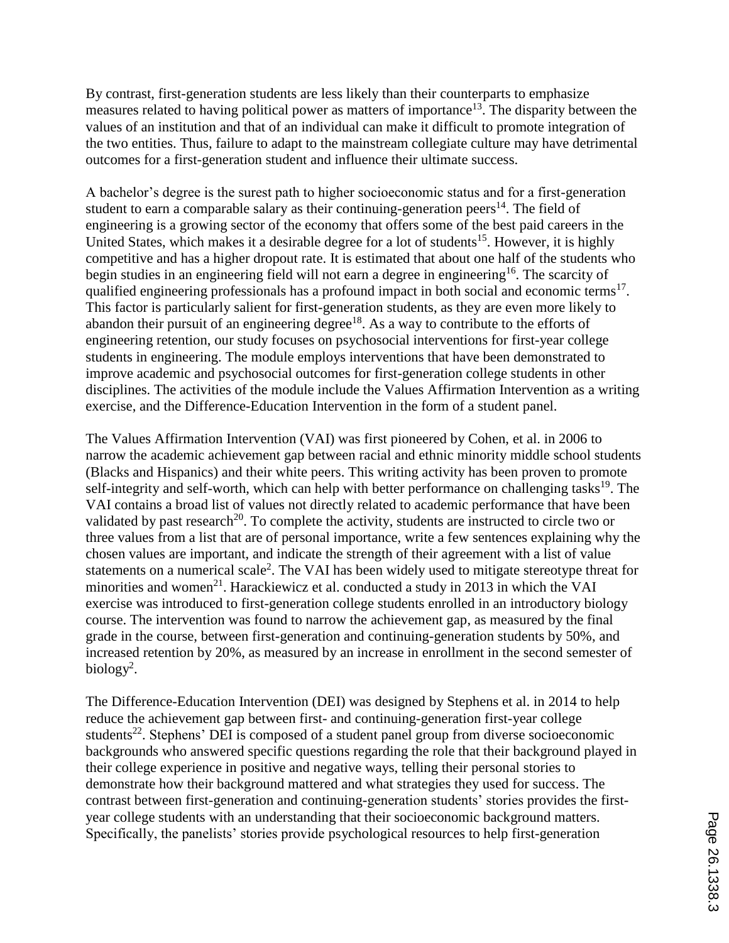By contrast, first-generation students are less likely than their counterparts to emphasize measures related to having political power as matters of importance<sup>13</sup>. The disparity between the values of an institution and that of an individual can make it difficult to promote integration of the two entities. Thus, failure to adapt to the mainstream collegiate culture may have detrimental outcomes for a first-generation student and influence their ultimate success.

A bachelor's degree is the surest path to higher socioeconomic status and for a first-generation student to earn a comparable salary as their continuing-generation peers $^{14}$ . The field of engineering is a growing sector of the economy that offers some of the best paid careers in the United States, which makes it a desirable degree for a lot of students<sup>15</sup>. However, it is highly competitive and has a higher dropout rate. It is estimated that about one half of the students who begin studies in an engineering field will not earn a degree in engineering<sup>16</sup>. The scarcity of qualified engineering professionals has a profound impact in both social and economic terms<sup>17</sup>. This factor is particularly salient for first-generation students, as they are even more likely to abandon their pursuit of an engineering degree $18$ . As a way to contribute to the efforts of engineering retention, our study focuses on psychosocial interventions for first-year college students in engineering. The module employs interventions that have been demonstrated to improve academic and psychosocial outcomes for first-generation college students in other disciplines. The activities of the module include the Values Affirmation Intervention as a writing exercise, and the Difference-Education Intervention in the form of a student panel.

The Values Affirmation Intervention (VAI) was first pioneered by Cohen, et al. in 2006 to narrow the academic achievement gap between racial and ethnic minority middle school students (Blacks and Hispanics) and their white peers. This writing activity has been proven to promote self-integrity and self-worth, which can help with better performance on challenging tasks<sup>19</sup>. The VAI contains a broad list of values not directly related to academic performance that have been validated by past research<sup>20</sup>. To complete the activity, students are instructed to circle two or three values from a list that are of personal importance, write a few sentences explaining why the chosen values are important, and indicate the strength of their agreement with a list of value statements on a numerical scale<sup>2</sup>. The VAI has been widely used to mitigate stereotype threat for minorities and women<sup>21</sup>. Harackiewicz et al. conducted a study in 2013 in which the VAI exercise was introduced to first-generation college students enrolled in an introductory biology course. The intervention was found to narrow the achievement gap, as measured by the final grade in the course, between first-generation and continuing-generation students by 50%, and increased retention by 20%, as measured by an increase in enrollment in the second semester of biology<sup>2</sup>.

The Difference-Education Intervention (DEI) was designed by Stephens et al. in 2014 to help reduce the achievement gap between first- and continuing-generation first-year college students<sup>22</sup>. Stephens' DEI is composed of a student panel group from diverse socioeconomic backgrounds who answered specific questions regarding the role that their background played in their college experience in positive and negative ways, telling their personal stories to demonstrate how their background mattered and what strategies they used for success. The contrast between first-generation and continuing-generation students' stories provides the firstyear college students with an understanding that their socioeconomic background matters. Specifically, the panelists' stories provide psychological resources to help first-generation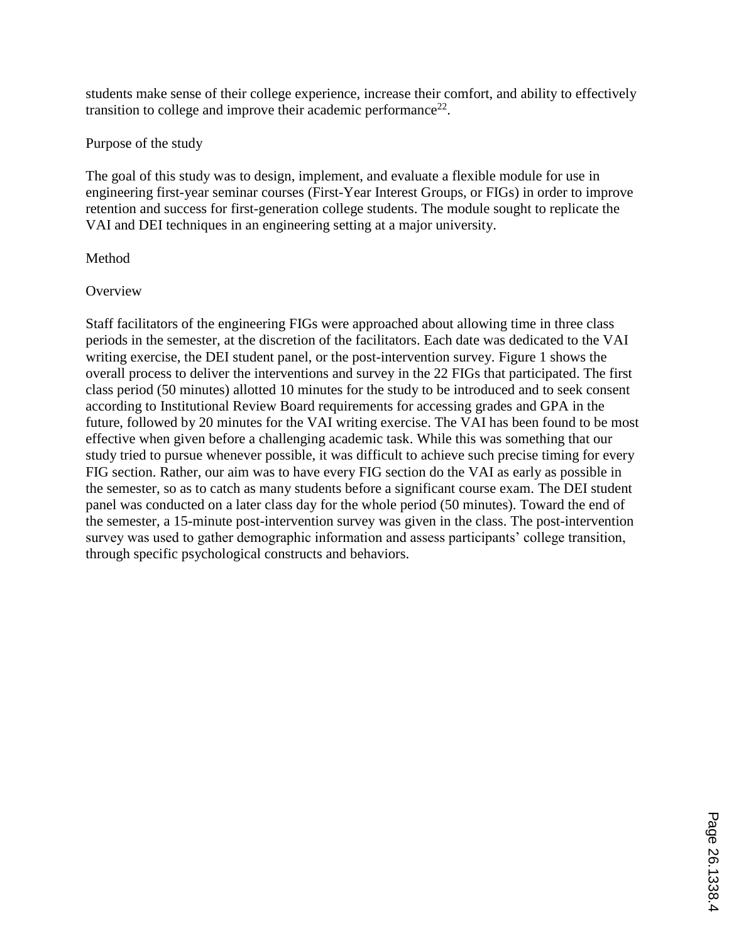students make sense of their college experience, increase their comfort, and ability to effectively transition to college and improve their academic performance<sup>22</sup>.

Purpose of the study

The goal of this study was to design, implement, and evaluate a flexible module for use in engineering first-year seminar courses (First-Year Interest Groups, or FIGs) in order to improve retention and success for first-generation college students. The module sought to replicate the VAI and DEI techniques in an engineering setting at a major university.

# **Method**

# **Overview**

Staff facilitators of the engineering FIGs were approached about allowing time in three class periods in the semester, at the discretion of the facilitators. Each date was dedicated to the VAI writing exercise, the DEI student panel, or the post-intervention survey. Figure 1 shows the overall process to deliver the interventions and survey in the 22 FIGs that participated. The first class period (50 minutes) allotted 10 minutes for the study to be introduced and to seek consent according to Institutional Review Board requirements for accessing grades and GPA in the future, followed by 20 minutes for the VAI writing exercise. The VAI has been found to be most effective when given before a challenging academic task. While this was something that our study tried to pursue whenever possible, it was difficult to achieve such precise timing for every FIG section. Rather, our aim was to have every FIG section do the VAI as early as possible in the semester, so as to catch as many students before a significant course exam. The DEI student panel was conducted on a later class day for the whole period (50 minutes). Toward the end of the semester, a 15-minute post-intervention survey was given in the class. The post-intervention survey was used to gather demographic information and assess participants' college transition, through specific psychological constructs and behaviors.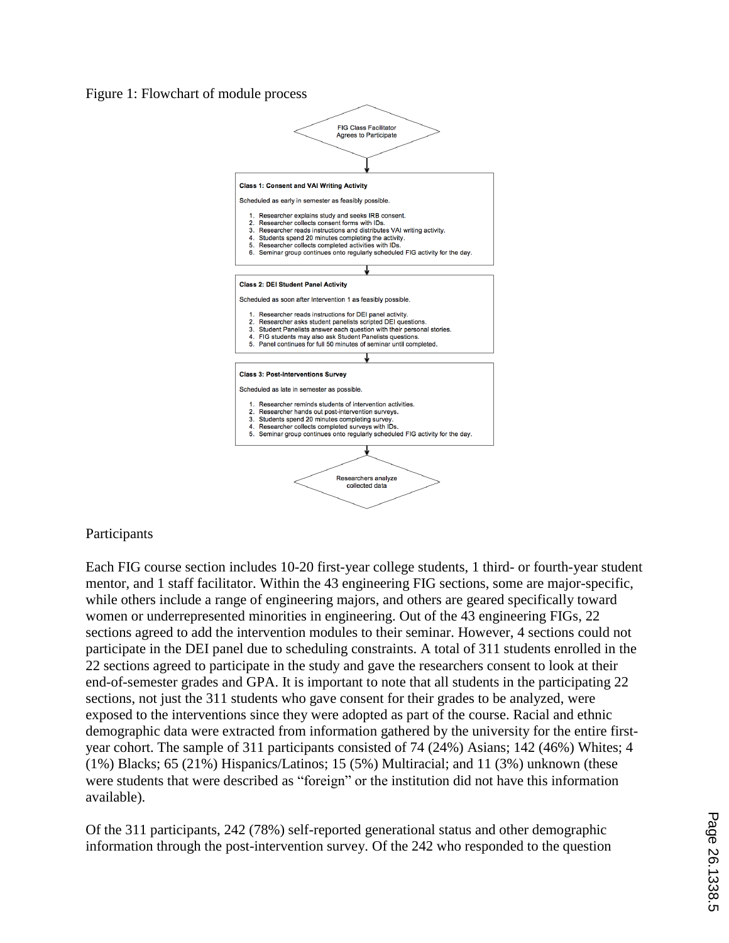### Figure 1: Flowchart of module process



## Participants

Each FIG course section includes 10-20 first-year college students, 1 third- or fourth-year student mentor, and 1 staff facilitator. Within the 43 engineering FIG sections, some are major-specific, while others include a range of engineering majors, and others are geared specifically toward women or underrepresented minorities in engineering. Out of the 43 engineering FIGs, 22 sections agreed to add the intervention modules to their seminar. However, 4 sections could not participate in the DEI panel due to scheduling constraints. A total of 311 students enrolled in the 22 sections agreed to participate in the study and gave the researchers consent to look at their end-of-semester grades and GPA. It is important to note that all students in the participating 22 sections, not just the 311 students who gave consent for their grades to be analyzed, were exposed to the interventions since they were adopted as part of the course. Racial and ethnic demographic data were extracted from information gathered by the university for the entire firstyear cohort. The sample of 311 participants consisted of 74 (24%) Asians; 142 (46%) Whites; 4 (1%) Blacks; 65 (21%) Hispanics/Latinos; 15 (5%) Multiracial; and 11 (3%) unknown (these were students that were described as "foreign" or the institution did not have this information available).

Of the 311 participants, 242 (78%) self-reported generational status and other demographic information through the post-intervention survey. Of the 242 who responded to the question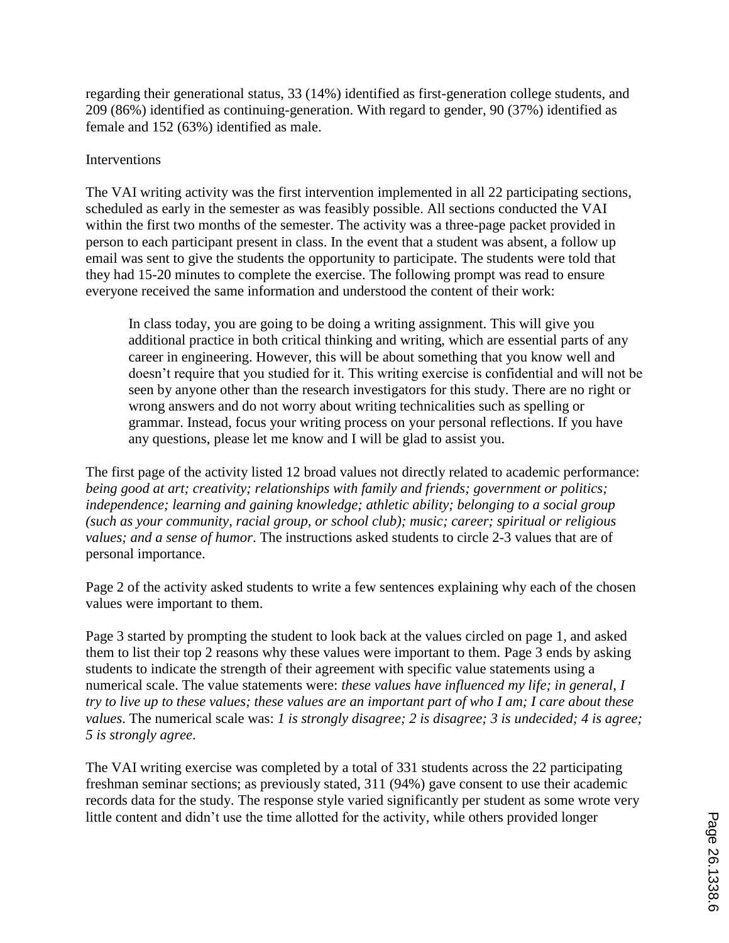regarding their generational status, 33 (14%) identified as first-generation college students, and 209 (86%) identified as continuing-generation. With regard to gender, 90 (37%) identified as female and 152 (63%) identified as male.

## Interventions

The VAI writing activity was the first intervention implemented in all 22 participating sections, scheduled as early in the semester as was feasibly possible. All sections conducted the VAI within the first two months of the semester. The activity was a three-page packet provided in person to each participant present in class. In the event that a student was absent, a follow up email was sent to give the students the opportunity to participate. The students were told that they had 15-20 minutes to complete the exercise. The following prompt was read to ensure everyone received the same information and understood the content of their work:

In class today, you are going to be doing a writing assignment. This will give you additional practice in both critical thinking and writing, which are essential parts of any career in engineering. However, this will be about something that you know well and doesn't require that you studied for it. This writing exercise is confidential and will not be seen by anyone other than the research investigators for this study. There are no right or wrong answers and do not worry about writing technicalities such as spelling or grammar. Instead, focus your writing process on your personal reflections. If you have any questions, please let me know and I will be glad to assist you.

The first page of the activity listed 12 broad values not directly related to academic performance: *being good at art; creativity; relationships with family and friends; government or politics; independence; learning and gaining knowledge; athletic ability; belonging to a social group (such as your community, racial group, or school club); music; career; spiritual or religious values; and a sense of humor*. The instructions asked students to circle 2-3 values that are of personal importance.

Page 2 of the activity asked students to write a few sentences explaining why each of the chosen values were important to them.

Page 3 started by prompting the student to look back at the values circled on page 1, and asked them to list their top 2 reasons why these values were important to them. Page 3 ends by asking students to indicate the strength of their agreement with specific value statements using a numerical scale. The value statements were: *these values have influenced my life; in general, I try to live up to these values; these values are an important part of who I am; I care about these values*. The numerical scale was: *1 is strongly disagree; 2 is disagree; 3 is undecided; 4 is agree; 5 is strongly agree*.

The VAI writing exercise was completed by a total of 331 students across the 22 participating freshman seminar sections; as previously stated, 311 (94%) gave consent to use their academic records data for the study. The response style varied significantly per student as some wrote very little content and didn't use the time allotted for the activity, while others provided longer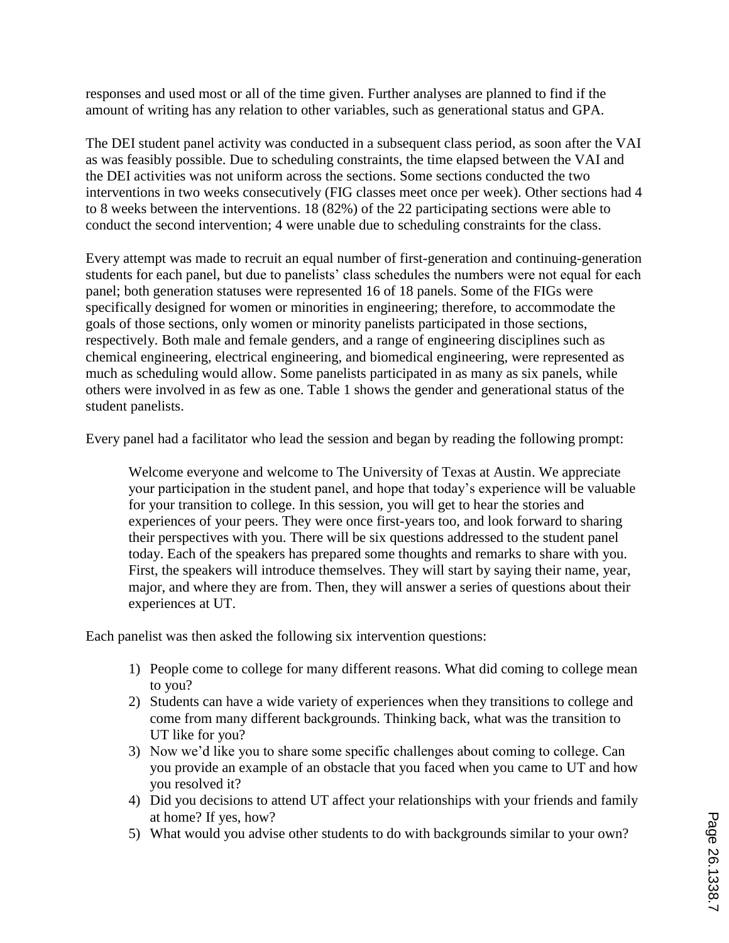responses and used most or all of the time given. Further analyses are planned to find if the amount of writing has any relation to other variables, such as generational status and GPA.

The DEI student panel activity was conducted in a subsequent class period, as soon after the VAI as was feasibly possible. Due to scheduling constraints, the time elapsed between the VAI and the DEI activities was not uniform across the sections. Some sections conducted the two interventions in two weeks consecutively (FIG classes meet once per week). Other sections had 4 to 8 weeks between the interventions. 18 (82%) of the 22 participating sections were able to conduct the second intervention; 4 were unable due to scheduling constraints for the class.

Every attempt was made to recruit an equal number of first-generation and continuing-generation students for each panel, but due to panelists' class schedules the numbers were not equal for each panel; both generation statuses were represented 16 of 18 panels. Some of the FIGs were specifically designed for women or minorities in engineering; therefore, to accommodate the goals of those sections, only women or minority panelists participated in those sections, respectively. Both male and female genders, and a range of engineering disciplines such as chemical engineering, electrical engineering, and biomedical engineering, were represented as much as scheduling would allow. Some panelists participated in as many as six panels, while others were involved in as few as one. Table 1 shows the gender and generational status of the student panelists.

Every panel had a facilitator who lead the session and began by reading the following prompt:

Welcome everyone and welcome to The University of Texas at Austin. We appreciate your participation in the student panel, and hope that today's experience will be valuable for your transition to college. In this session, you will get to hear the stories and experiences of your peers. They were once first-years too, and look forward to sharing their perspectives with you. There will be six questions addressed to the student panel today. Each of the speakers has prepared some thoughts and remarks to share with you. First, the speakers will introduce themselves. They will start by saying their name, year, major, and where they are from. Then, they will answer a series of questions about their experiences at UT.

Each panelist was then asked the following six intervention questions:

- 1) People come to college for many different reasons. What did coming to college mean to you?
- 2) Students can have a wide variety of experiences when they transitions to college and come from many different backgrounds. Thinking back, what was the transition to UT like for you?
- 3) Now we'd like you to share some specific challenges about coming to college. Can you provide an example of an obstacle that you faced when you came to UT and how you resolved it?
- 4) Did you decisions to attend UT affect your relationships with your friends and family at home? If yes, how?
- 5) What would you advise other students to do with backgrounds similar to your own?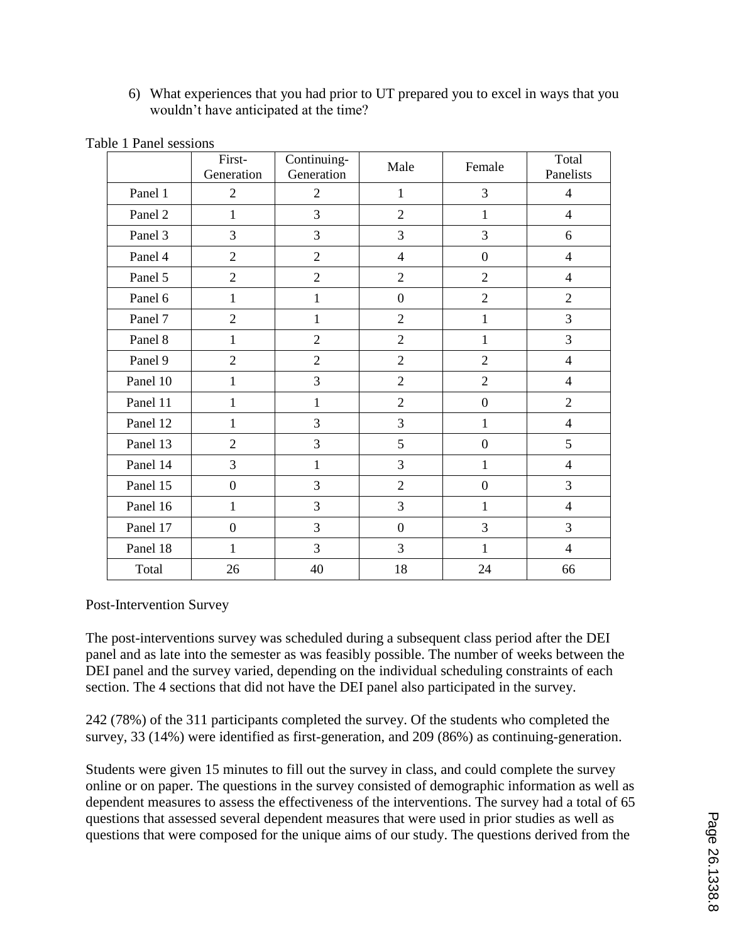6) What experiences that you had prior to UT prepared you to excel in ways that you wouldn't have anticipated at the time?

|          | First-<br>Generation | Continuing-<br>Generation | Male             | Female           | Total<br>Panelists       |
|----------|----------------------|---------------------------|------------------|------------------|--------------------------|
| Panel 1  | $\overline{2}$       | $\overline{2}$            | 1                | 3                | $\overline{4}$           |
| Panel 2  | $\mathbf{1}$         | 3                         | $\overline{2}$   | $\mathbf{1}$     | $\overline{4}$           |
| Panel 3  | 3                    | 3                         | 3                | 3                | 6                        |
| Panel 4  | $\overline{2}$       | $\overline{2}$            | $\overline{4}$   | $\boldsymbol{0}$ | $\overline{4}$           |
| Panel 5  | $\overline{2}$       | $\overline{2}$            | $\overline{2}$   | $\overline{2}$   | $\overline{4}$           |
| Panel 6  | $\mathbf{1}$         | $\mathbf{1}$              | $\boldsymbol{0}$ | $\overline{2}$   | $\overline{2}$           |
| Panel 7  | $\overline{2}$       | 1                         | $\overline{2}$   | $\mathbf{1}$     | 3                        |
| Panel 8  | $\mathbf{1}$         | $\overline{2}$            | $\overline{2}$   | $\mathbf{1}$     | 3                        |
| Panel 9  | $\overline{2}$       | $\overline{2}$            | $\overline{2}$   | $\overline{2}$   | $\overline{4}$           |
| Panel 10 | $\mathbf{1}$         | 3                         | $\overline{2}$   | $\overline{2}$   | $\overline{4}$           |
| Panel 11 | $\mathbf{1}$         | $\mathbf{1}$              | $\overline{2}$   | $\boldsymbol{0}$ | $\overline{2}$           |
| Panel 12 | $\mathbf{1}$         | 3                         | 3                | $\mathbf{1}$     | $\overline{4}$           |
| Panel 13 | $\overline{2}$       | $\overline{3}$            | 5                | $\boldsymbol{0}$ | 5                        |
| Panel 14 | 3                    | $\mathbf{1}$              | 3                | $\mathbf{1}$     | $\overline{\mathcal{A}}$ |
| Panel 15 | $\boldsymbol{0}$     | 3                         | $\overline{2}$   | $\boldsymbol{0}$ | 3                        |
| Panel 16 | $\mathbf{1}$         | 3                         | $\overline{3}$   | $\mathbf{1}$     | $\overline{4}$           |
| Panel 17 | $\boldsymbol{0}$     | 3                         | $\boldsymbol{0}$ | 3                | 3                        |
| Panel 18 | $\mathbf{1}$         | 3                         | 3                | 1                | $\overline{4}$           |
| Total    | 26                   | 40                        | 18               | 24               | 66                       |

Table 1 Panel sessions

Post-Intervention Survey

The post-interventions survey was scheduled during a subsequent class period after the DEI panel and as late into the semester as was feasibly possible. The number of weeks between the DEI panel and the survey varied, depending on the individual scheduling constraints of each section. The 4 sections that did not have the DEI panel also participated in the survey.

242 (78%) of the 311 participants completed the survey. Of the students who completed the survey, 33 (14%) were identified as first-generation, and 209 (86%) as continuing-generation.

Students were given 15 minutes to fill out the survey in class, and could complete the survey online or on paper. The questions in the survey consisted of demographic information as well as dependent measures to assess the effectiveness of the interventions. The survey had a total of 65 questions that assessed several dependent measures that were used in prior studies as well as questions that were composed for the unique aims of our study. The questions derived from the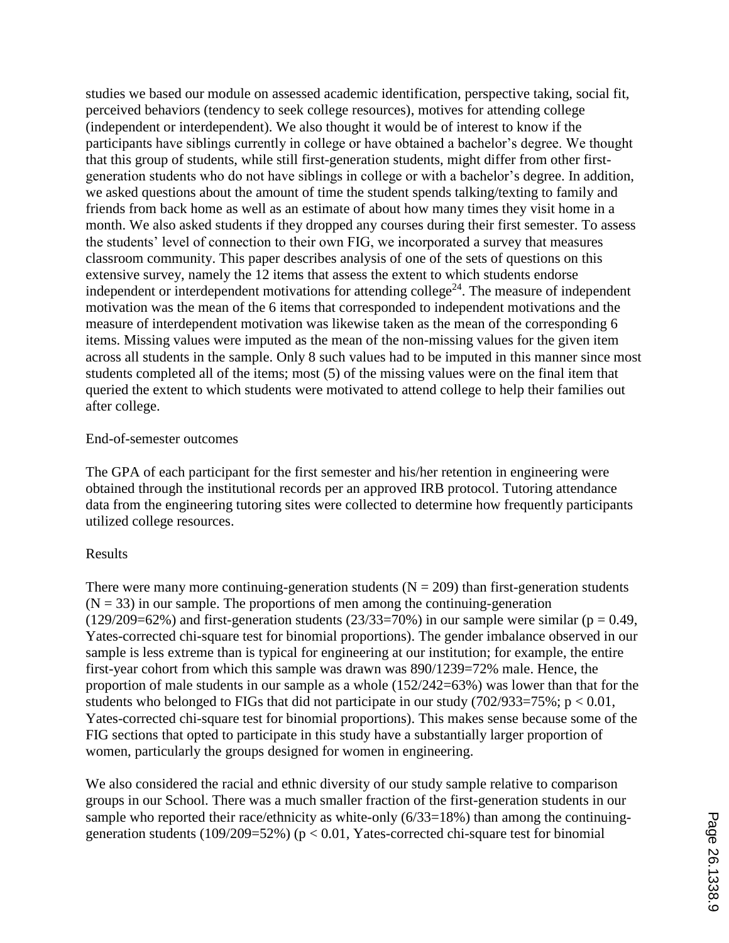studies we based our module on assessed academic identification, perspective taking, social fit, perceived behaviors (tendency to seek college resources), motives for attending college (independent or interdependent). We also thought it would be of interest to know if the participants have siblings currently in college or have obtained a bachelor's degree. We thought that this group of students, while still first-generation students, might differ from other firstgeneration students who do not have siblings in college or with a bachelor's degree. In addition, we asked questions about the amount of time the student spends talking/texting to family and friends from back home as well as an estimate of about how many times they visit home in a month. We also asked students if they dropped any courses during their first semester. To assess the students' level of connection to their own FIG, we incorporated a survey that measures classroom community. This paper describes analysis of one of the sets of questions on this extensive survey, namely the 12 items that assess the extent to which students endorse independent or interdependent motivations for attending college<sup>24</sup>. The measure of independent motivation was the mean of the 6 items that corresponded to independent motivations and the measure of interdependent motivation was likewise taken as the mean of the corresponding 6 items. Missing values were imputed as the mean of the non-missing values for the given item across all students in the sample. Only 8 such values had to be imputed in this manner since most students completed all of the items; most (5) of the missing values were on the final item that queried the extent to which students were motivated to attend college to help their families out after college.

### End-of-semester outcomes

The GPA of each participant for the first semester and his/her retention in engineering were obtained through the institutional records per an approved IRB protocol. Tutoring attendance data from the engineering tutoring sites were collected to determine how frequently participants utilized college resources.

## Results

There were many more continuing-generation students ( $N = 209$ ) than first-generation students  $(N = 33)$  in our sample. The proportions of men among the continuing-generation  $(129/209=62\%)$  and first-generation students  $(23/33=70\%)$  in our sample were similar (p = 0.49, Yates-corrected chi-square test for binomial proportions). The gender imbalance observed in our sample is less extreme than is typical for engineering at our institution; for example, the entire first-year cohort from which this sample was drawn was 890/1239=72% male. Hence, the proportion of male students in our sample as a whole (152/242=63%) was lower than that for the students who belonged to FIGs that did not participate in our study  $(702/933=75\%; p < 0.01,$ Yates-corrected chi-square test for binomial proportions). This makes sense because some of the FIG sections that opted to participate in this study have a substantially larger proportion of women, particularly the groups designed for women in engineering.

We also considered the racial and ethnic diversity of our study sample relative to comparison groups in our School. There was a much smaller fraction of the first-generation students in our sample who reported their race/ethnicity as white-only (6/33=18%) than among the continuinggeneration students (109/209=52%) ( $p < 0.01$ , Yates-corrected chi-square test for binomial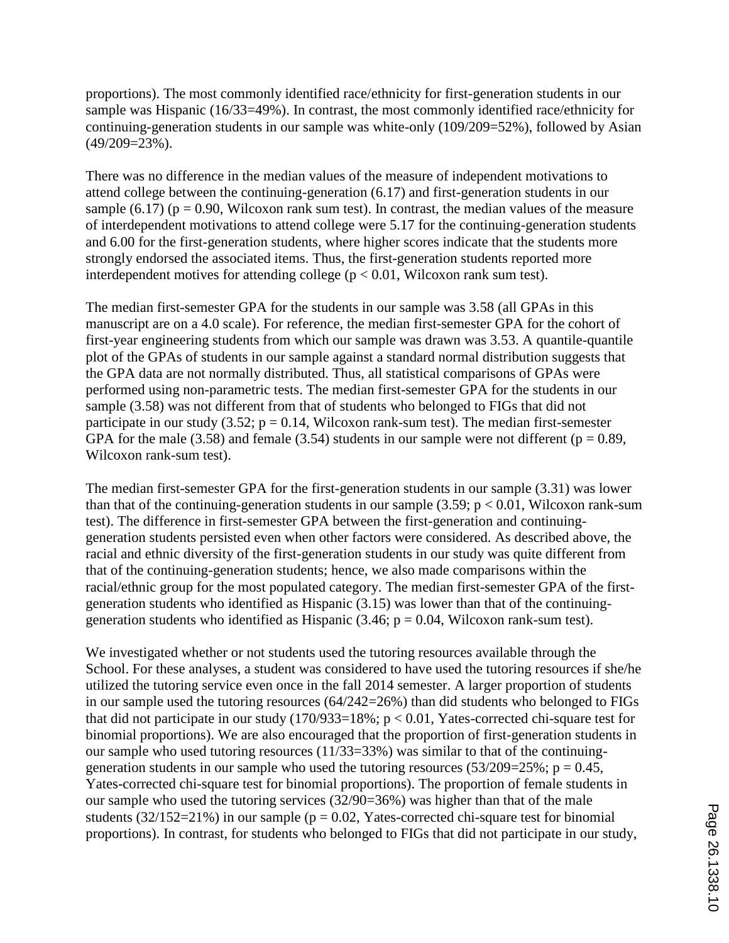proportions). The most commonly identified race/ethnicity for first-generation students in our sample was Hispanic (16/33=49%). In contrast, the most commonly identified race/ethnicity for continuing-generation students in our sample was white-only (109/209=52%), followed by Asian (49/209=23%).

There was no difference in the median values of the measure of independent motivations to attend college between the continuing-generation (6.17) and first-generation students in our sample (6.17) ( $p = 0.90$ , Wilcoxon rank sum test). In contrast, the median values of the measure of interdependent motivations to attend college were 5.17 for the continuing-generation students and 6.00 for the first-generation students, where higher scores indicate that the students more strongly endorsed the associated items. Thus, the first-generation students reported more interdependent motives for attending college ( $p < 0.01$ , Wilcoxon rank sum test).

The median first-semester GPA for the students in our sample was 3.58 (all GPAs in this manuscript are on a 4.0 scale). For reference, the median first-semester GPA for the cohort of first-year engineering students from which our sample was drawn was 3.53. A quantile-quantile plot of the GPAs of students in our sample against a standard normal distribution suggests that the GPA data are not normally distributed. Thus, all statistical comparisons of GPAs were performed using non-parametric tests. The median first-semester GPA for the students in our sample (3.58) was not different from that of students who belonged to FIGs that did not participate in our study  $(3.52; p = 0.14, Wilcoxon rank-sum test)$ . The median first-semester GPA for the male (3.58) and female (3.54) students in our sample were not different ( $p = 0.89$ , Wilcoxon rank-sum test).

The median first-semester GPA for the first-generation students in our sample (3.31) was lower than that of the continuing-generation students in our sample  $(3.59; p < 0.01, Wilcoxon rank-sum)$ test). The difference in first-semester GPA between the first-generation and continuinggeneration students persisted even when other factors were considered. As described above, the racial and ethnic diversity of the first-generation students in our study was quite different from that of the continuing-generation students; hence, we also made comparisons within the racial/ethnic group for the most populated category. The median first-semester GPA of the firstgeneration students who identified as Hispanic (3.15) was lower than that of the continuinggeneration students who identified as Hispanic  $(3.46; p = 0.04, Wilcoxon rank-sum test)$ .

We investigated whether or not students used the tutoring resources available through the School. For these analyses, a student was considered to have used the tutoring resources if she/he utilized the tutoring service even once in the fall 2014 semester. A larger proportion of students in our sample used the tutoring resources (64/242=26%) than did students who belonged to FIGs that did not participate in our study  $(170/933=18\%; p < 0.01$ , Yates-corrected chi-square test for binomial proportions). We are also encouraged that the proportion of first-generation students in our sample who used tutoring resources (11/33=33%) was similar to that of the continuinggeneration students in our sample who used the tutoring resources (53/209=25%;  $p = 0.45$ , Yates-corrected chi-square test for binomial proportions). The proportion of female students in our sample who used the tutoring services (32/90=36%) was higher than that of the male students (32/152=21%) in our sample ( $p = 0.02$ , Yates-corrected chi-square test for binomial proportions). In contrast, for students who belonged to FIGs that did not participate in our study,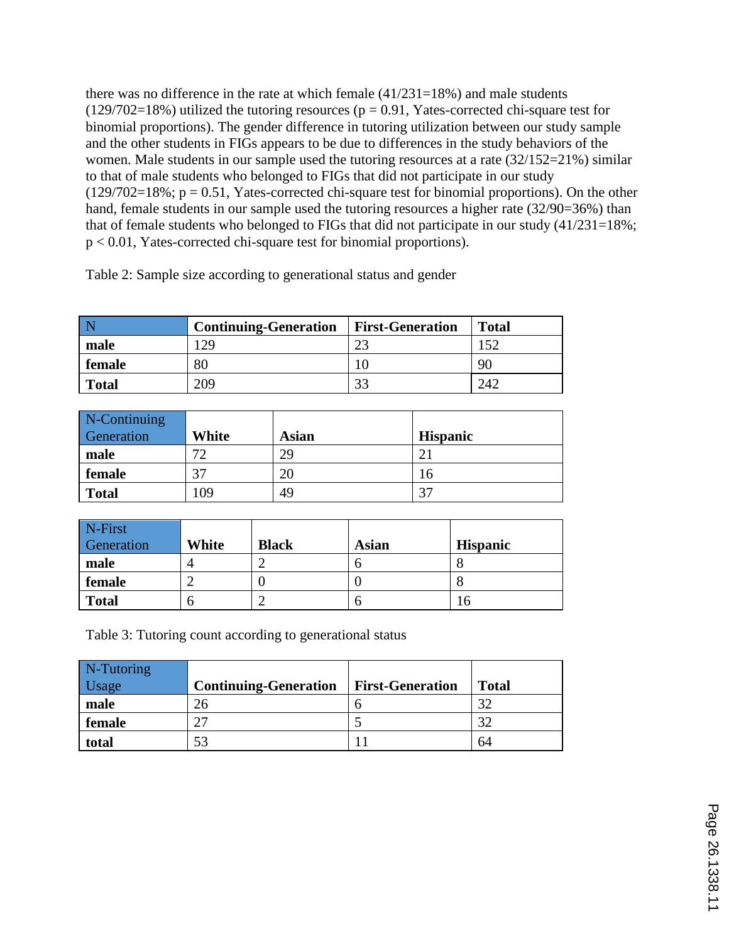there was no difference in the rate at which female  $(41/231=18%)$  and male students  $(129/702=18%)$  utilized the tutoring resources ( $p = 0.91$ , Yates-corrected chi-square test for binomial proportions). The gender difference in tutoring utilization between our study sample and the other students in FIGs appears to be due to differences in the study behaviors of the women. Male students in our sample used the tutoring resources at a rate (32/152=21%) similar to that of male students who belonged to FIGs that did not participate in our study  $(129/702=18\%; p = 0.51, Yates-corrected chi-square test for binomial proportions). On the other$ hand, female students in our sample used the tutoring resources a higher rate (32/90=36%) than that of female students who belonged to FIGs that did not participate in our study (41/231=18%; p < 0.01, Yates-corrected chi-square test for binomial proportions).

Table 2: Sample size according to generational status and gender

| N      | <b>Continuing-Generation</b> | <b>First-Generation</b> | <b>Total</b> |
|--------|------------------------------|-------------------------|--------------|
| male   | 29                           | າາ                      | 152          |
| female | 80                           |                         | 90           |
| Total  | 209                          | 33                      | 242          |

| N-Continuing |       |              |                 |
|--------------|-------|--------------|-----------------|
| Generation   | White | <b>Asian</b> | <b>Hispanic</b> |
| male         | 70    | 29           |                 |
| female       | 37    | 20           | L6              |
| <b>Total</b> | .09   | 49           | 37              |

| N-First<br>Generation | White | <b>Black</b> | Asian | <b>Hispanic</b> |
|-----------------------|-------|--------------|-------|-----------------|
| male                  |       |              |       |                 |
| female                |       |              |       |                 |
| <b>Total</b>          |       |              |       | Lб              |

Table 3: Tutoring count according to generational status

| N-Tutoring |                              |                         |              |
|------------|------------------------------|-------------------------|--------------|
| Usage      | <b>Continuing-Generation</b> | <b>First-Generation</b> | <b>Total</b> |
| male       | 26                           |                         | 32           |
| female     |                              |                         | 32           |
| total      | 53                           |                         | 64           |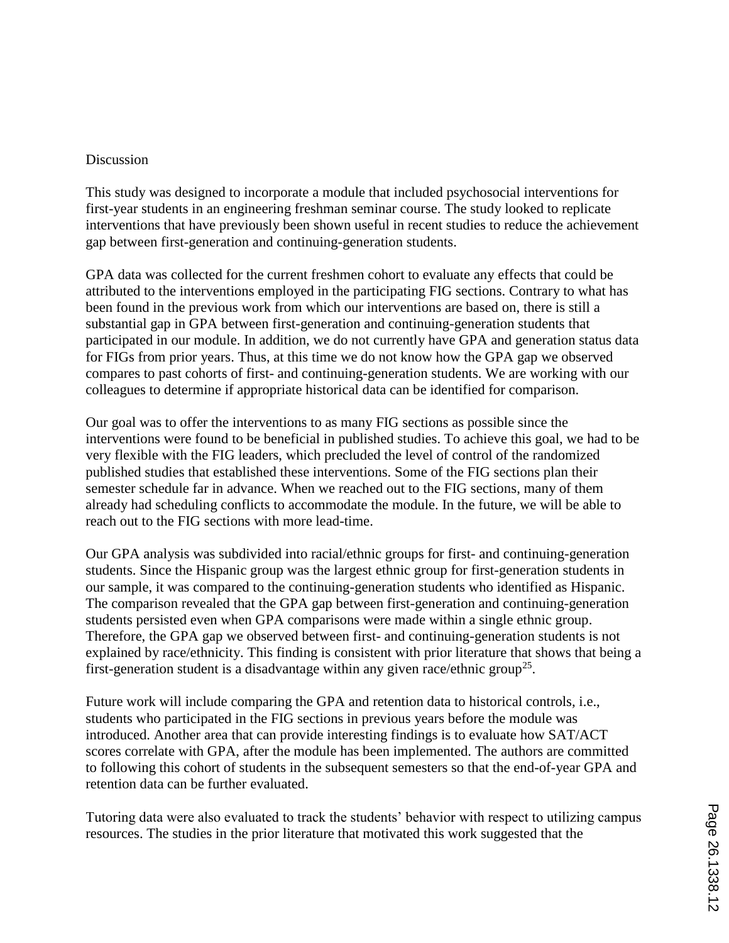### Discussion

This study was designed to incorporate a module that included psychosocial interventions for first-year students in an engineering freshman seminar course. The study looked to replicate interventions that have previously been shown useful in recent studies to reduce the achievement gap between first-generation and continuing-generation students.

GPA data was collected for the current freshmen cohort to evaluate any effects that could be attributed to the interventions employed in the participating FIG sections. Contrary to what has been found in the previous work from which our interventions are based on, there is still a substantial gap in GPA between first-generation and continuing-generation students that participated in our module. In addition, we do not currently have GPA and generation status data for FIGs from prior years. Thus, at this time we do not know how the GPA gap we observed compares to past cohorts of first- and continuing-generation students. We are working with our colleagues to determine if appropriate historical data can be identified for comparison.

Our goal was to offer the interventions to as many FIG sections as possible since the interventions were found to be beneficial in published studies. To achieve this goal, we had to be very flexible with the FIG leaders, which precluded the level of control of the randomized published studies that established these interventions. Some of the FIG sections plan their semester schedule far in advance. When we reached out to the FIG sections, many of them already had scheduling conflicts to accommodate the module. In the future, we will be able to reach out to the FIG sections with more lead-time.

Our GPA analysis was subdivided into racial/ethnic groups for first- and continuing-generation students. Since the Hispanic group was the largest ethnic group for first-generation students in our sample, it was compared to the continuing-generation students who identified as Hispanic. The comparison revealed that the GPA gap between first-generation and continuing-generation students persisted even when GPA comparisons were made within a single ethnic group. Therefore, the GPA gap we observed between first- and continuing-generation students is not explained by race/ethnicity. This finding is consistent with prior literature that shows that being a first-generation student is a disadvantage within any given race/ethnic group<sup>25</sup>.

Future work will include comparing the GPA and retention data to historical controls, i.e., students who participated in the FIG sections in previous years before the module was introduced. Another area that can provide interesting findings is to evaluate how SAT/ACT scores correlate with GPA, after the module has been implemented. The authors are committed to following this cohort of students in the subsequent semesters so that the end-of-year GPA and retention data can be further evaluated.

Tutoring data were also evaluated to track the students' behavior with respect to utilizing campus resources. The studies in the prior literature that motivated this work suggested that the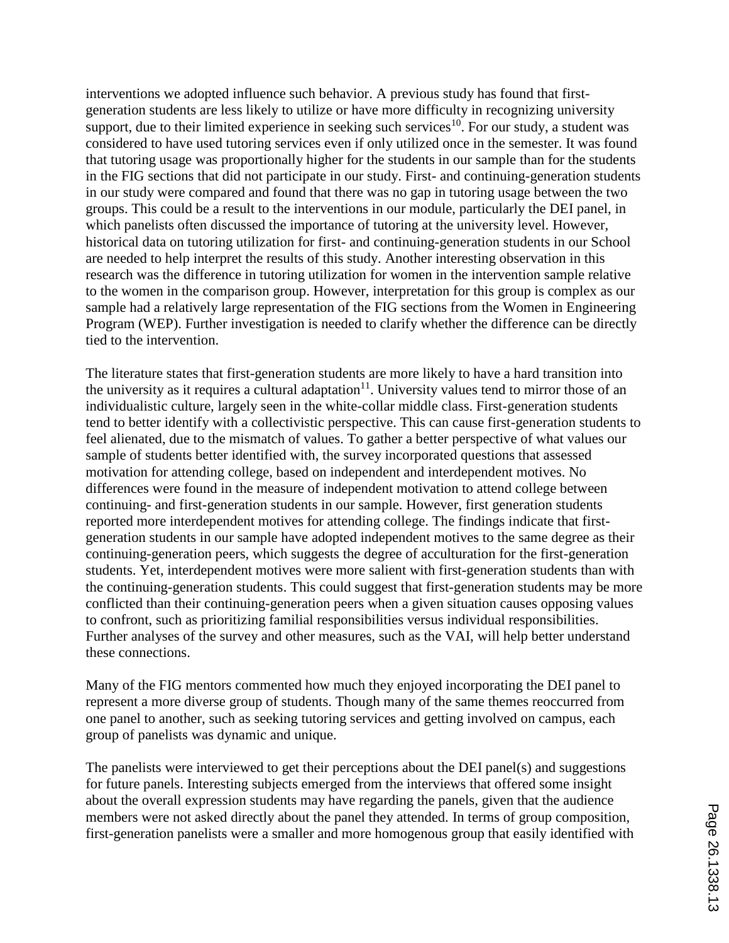interventions we adopted influence such behavior. A previous study has found that firstgeneration students are less likely to utilize or have more difficulty in recognizing university support, due to their limited experience in seeking such services<sup>10</sup>. For our study, a student was considered to have used tutoring services even if only utilized once in the semester. It was found that tutoring usage was proportionally higher for the students in our sample than for the students in the FIG sections that did not participate in our study. First- and continuing-generation students in our study were compared and found that there was no gap in tutoring usage between the two groups. This could be a result to the interventions in our module, particularly the DEI panel, in which panelists often discussed the importance of tutoring at the university level. However, historical data on tutoring utilization for first- and continuing-generation students in our School are needed to help interpret the results of this study. Another interesting observation in this research was the difference in tutoring utilization for women in the intervention sample relative to the women in the comparison group. However, interpretation for this group is complex as our sample had a relatively large representation of the FIG sections from the Women in Engineering Program (WEP). Further investigation is needed to clarify whether the difference can be directly tied to the intervention.

The literature states that first-generation students are more likely to have a hard transition into the university as it requires a cultural adaptation<sup>11</sup>. University values tend to mirror those of an individualistic culture, largely seen in the white-collar middle class. First-generation students tend to better identify with a collectivistic perspective. This can cause first-generation students to feel alienated, due to the mismatch of values. To gather a better perspective of what values our sample of students better identified with, the survey incorporated questions that assessed motivation for attending college, based on independent and interdependent motives. No differences were found in the measure of independent motivation to attend college between continuing- and first-generation students in our sample. However, first generation students reported more interdependent motives for attending college. The findings indicate that firstgeneration students in our sample have adopted independent motives to the same degree as their continuing-generation peers, which suggests the degree of acculturation for the first-generation students. Yet, interdependent motives were more salient with first-generation students than with the continuing-generation students. This could suggest that first-generation students may be more conflicted than their continuing-generation peers when a given situation causes opposing values to confront, such as prioritizing familial responsibilities versus individual responsibilities. Further analyses of the survey and other measures, such as the VAI, will help better understand these connections.

Many of the FIG mentors commented how much they enjoyed incorporating the DEI panel to represent a more diverse group of students. Though many of the same themes reoccurred from one panel to another, such as seeking tutoring services and getting involved on campus, each group of panelists was dynamic and unique.

The panelists were interviewed to get their perceptions about the DEI panel(s) and suggestions for future panels. Interesting subjects emerged from the interviews that offered some insight about the overall expression students may have regarding the panels, given that the audience members were not asked directly about the panel they attended. In terms of group composition, first-generation panelists were a smaller and more homogenous group that easily identified with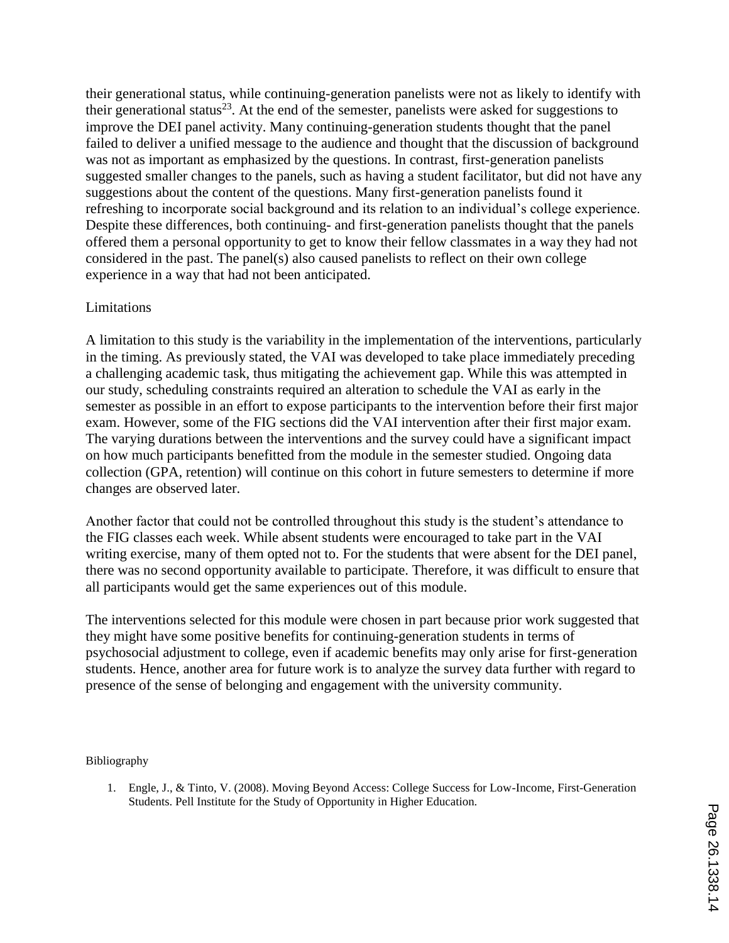their generational status, while continuing-generation panelists were not as likely to identify with their generational status<sup>23</sup>. At the end of the semester, panelists were asked for suggestions to improve the DEI panel activity. Many continuing-generation students thought that the panel failed to deliver a unified message to the audience and thought that the discussion of background was not as important as emphasized by the questions. In contrast, first-generation panelists suggested smaller changes to the panels, such as having a student facilitator, but did not have any suggestions about the content of the questions. Many first-generation panelists found it refreshing to incorporate social background and its relation to an individual's college experience. Despite these differences, both continuing- and first-generation panelists thought that the panels offered them a personal opportunity to get to know their fellow classmates in a way they had not considered in the past. The panel(s) also caused panelists to reflect on their own college experience in a way that had not been anticipated.

# Limitations

A limitation to this study is the variability in the implementation of the interventions, particularly in the timing. As previously stated, the VAI was developed to take place immediately preceding a challenging academic task, thus mitigating the achievement gap. While this was attempted in our study, scheduling constraints required an alteration to schedule the VAI as early in the semester as possible in an effort to expose participants to the intervention before their first major exam. However, some of the FIG sections did the VAI intervention after their first major exam. The varying durations between the interventions and the survey could have a significant impact on how much participants benefitted from the module in the semester studied. Ongoing data collection (GPA, retention) will continue on this cohort in future semesters to determine if more changes are observed later.

Another factor that could not be controlled throughout this study is the student's attendance to the FIG classes each week. While absent students were encouraged to take part in the VAI writing exercise, many of them opted not to. For the students that were absent for the DEI panel, there was no second opportunity available to participate. Therefore, it was difficult to ensure that all participants would get the same experiences out of this module.

The interventions selected for this module were chosen in part because prior work suggested that they might have some positive benefits for continuing-generation students in terms of psychosocial adjustment to college, even if academic benefits may only arise for first-generation students. Hence, another area for future work is to analyze the survey data further with regard to presence of the sense of belonging and engagement with the university community.

#### Bibliography

1. Engle, J., & Tinto, V. (2008). Moving Beyond Access: College Success for Low-Income, First-Generation Students. Pell Institute for the Study of Opportunity in Higher Education.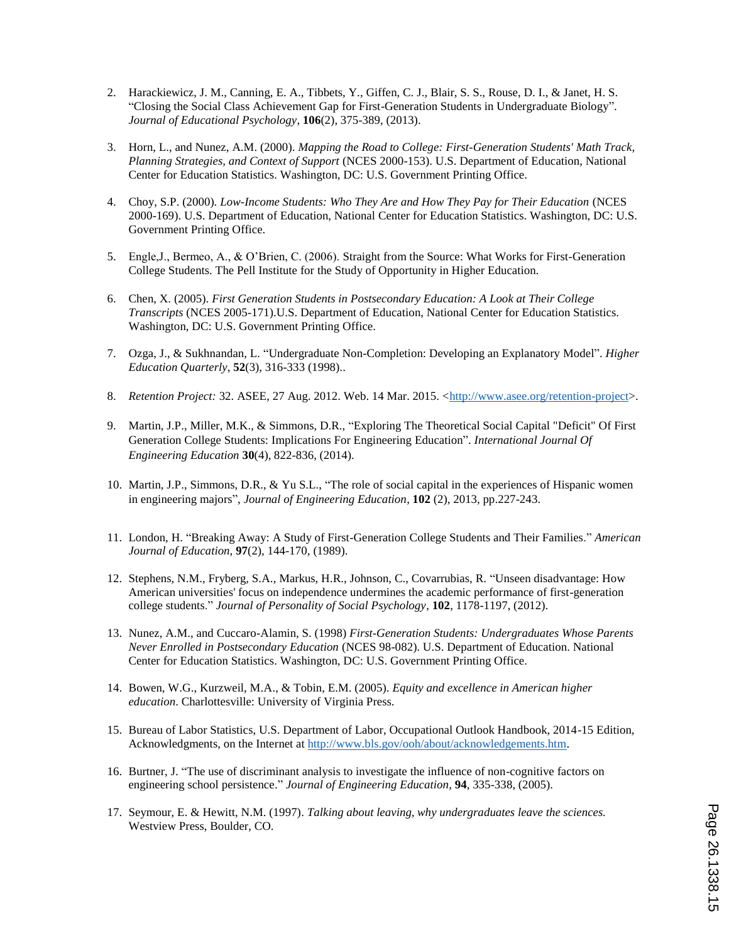- 2. Harackiewicz, J. M., Canning, E. A., Tibbets, Y., Giffen, C. J., Blair, S. S., Rouse, D. I., & Janet, H. S. "Closing the Social Class Achievement Gap for First-Generation Students in Undergraduate Biology". *Journal of Educational Psychology*, **106**(2), 375-389, (2013).
- 3. Horn, L., and Nunez, A.M. (2000). *Mapping the Road to College: First-Generation Students' Math Track, Planning Strategies, and Context of Support* (NCES 2000-153). U.S. Department of Education, National Center for Education Statistics. Washington, DC: U.S. Government Printing Office.
- 4. Choy, S.P. (2000). *Low-Income Students: Who They Are and How They Pay for Their Education* (NCES 2000-169). U.S. Department of Education, National Center for Education Statistics. Washington, DC: U.S. Government Printing Office.
- 5. Engle,J., Bermeo, A., & O'Brien, C. (2006). Straight from the Source: What Works for First-Generation College Students. The Pell Institute for the Study of Opportunity in Higher Education.
- 6. Chen, X. (2005). *First Generation Students in Postsecondary Education: A Look at Their College Transcripts* (NCES 2005-171).U.S. Department of Education, National Center for Education Statistics. Washington, DC: U.S. Government Printing Office.
- 7. Ozga, J., & Sukhnandan, L. "Undergraduate Non-Completion: Developing an Explanatory Model". *Higher Education Quarterly*, **52**(3), 316-333 (1998)..
- 8. *Retention Project:* 32. ASEE, 27 Aug. 2012. Web. 14 Mar. 2015. <http://www.asee.org/retention-project>.
- 9. Martin, J.P., Miller, M.K., & Simmons, D.R., "Exploring The Theoretical Social Capital "Deficit" Of First Generation College Students: Implications For Engineering Education". *International Journal Of Engineering Education* **30**(4), 822-836, (2014).
- 10. Martin, J.P., Simmons, D.R., & Yu S.L., "The role of social capital in the experiences of Hispanic women in engineering majors", *Journal of Engineering Education*, **102** (2), 2013, pp.227-243.
- 11. London, H. "Breaking Away: A Study of First-Generation College Students and Their Families." *American Journal of Education*, **97**(2), 144-170, (1989).
- 12. Stephens, N.M., Fryberg, S.A., Markus, H.R., Johnson, C., Covarrubias, R. "Unseen disadvantage: How American universities' focus on independence undermines the academic performance of first-generation college students." *Journal of Personality of Social Psychology*, **102**, 1178-1197, (2012).
- 13. Nunez, A.M., and Cuccaro-Alamin, S. (1998) *First-Generation Students: Undergraduates Whose Parents Never Enrolled in Postsecondary Education* (NCES 98-082). U.S. Department of Education. National Center for Education Statistics. Washington, DC: U.S. Government Printing Office.
- 14. Bowen, W.G., Kurzweil, M.A., & Tobin, E.M. (2005). *Equity and excellence in American higher education*. Charlottesville: University of Virginia Press.
- 15. Bureau of Labor Statistics, U.S. Department of Labor, Occupational Outlook Handbook, 2014-15 Edition, Acknowledgments, on the Internet at http://www.bls.gov/ooh/about/acknowledgements.htm.
- 16. Burtner, J. "The use of discriminant analysis to investigate the influence of non-cognitive factors on engineering school persistence." *Journal of Engineering Education*, **94**, 335-338, (2005).
- 17. Seymour, E. & Hewitt, N.M. (1997). *Talking about leaving, why undergraduates leave the sciences.* Westview Press, Boulder, CO.